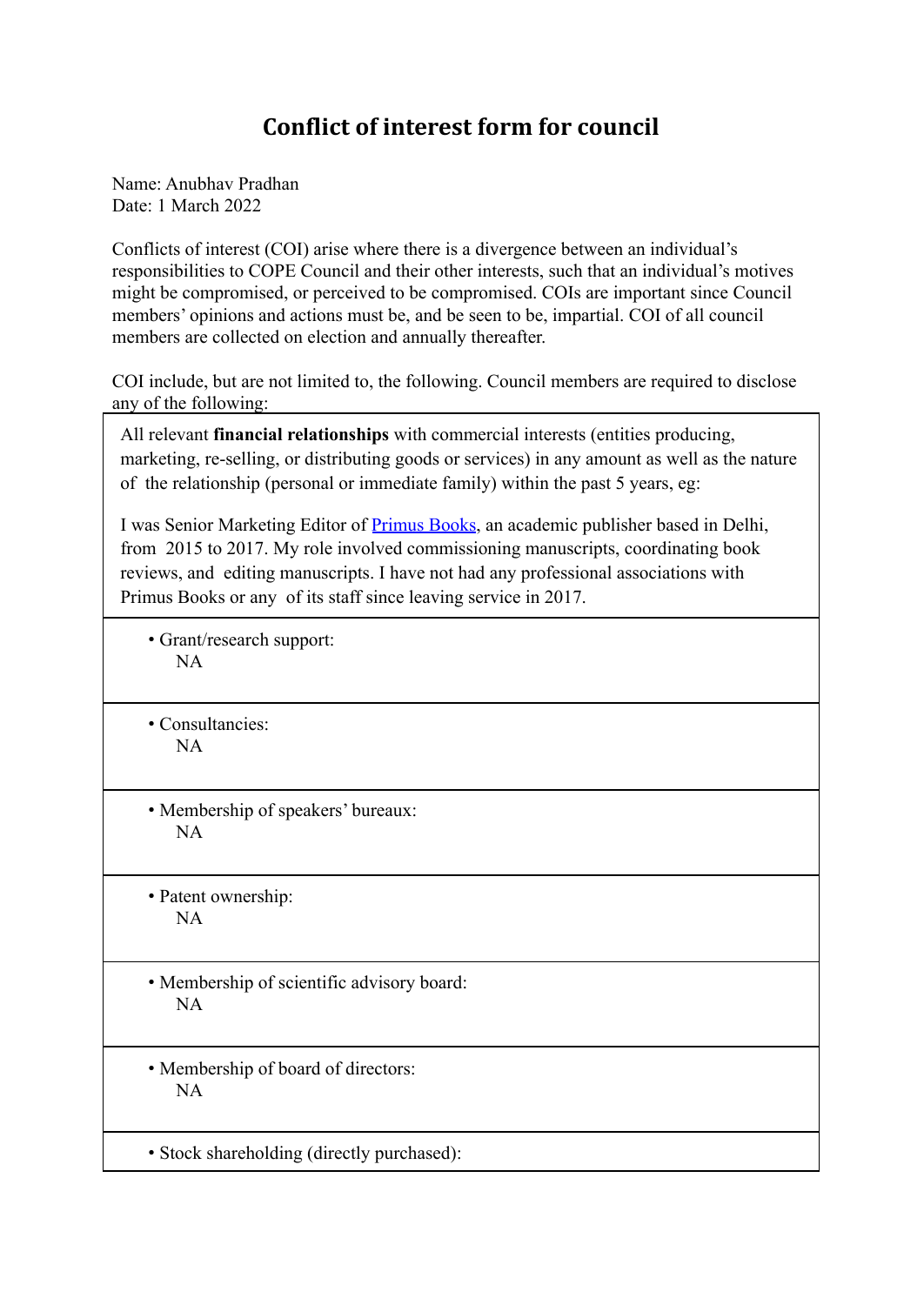## **Conflict of interest form for council**

Name: Anubhav Pradhan Date: 1 March 2022

Conflicts of interest (COI) arise where there is a divergence between an individual's responsibilities to COPE Council and their other interests, such that an individual's motives might be compromised, or perceived to be compromised. COIs are important since Council members' opinions and actions must be, and be seen to be, impartial. COI of all council members are collected on election and annually thereafter.

COI include, but are not limited to, the following. Council members are required to disclose any of the following:

All relevant **financial relationships** with commercial interests (entities producing, marketing, re-selling, or distributing goods or services) in any amount as well as the nature of the relationship (personal or immediate family) within the past 5 years, eg:

I was Senior Marketing Editor of Primus Books, an academic publisher based in Delhi, from 2015 to 2017. My role involved commissioning manuscripts, coordinating book reviews, and editing manuscripts. I have not had any professional associations with Primus Books or any of its staff since leaving service in 2017.

• Grant/research support: NA

• Consultancies: NA

• Membership of speakers' bureaux: NA

• Patent ownership: NA

• Membership of scientific advisory board: NA

• Membership of board of directors: NA

• Stock shareholding (directly purchased):